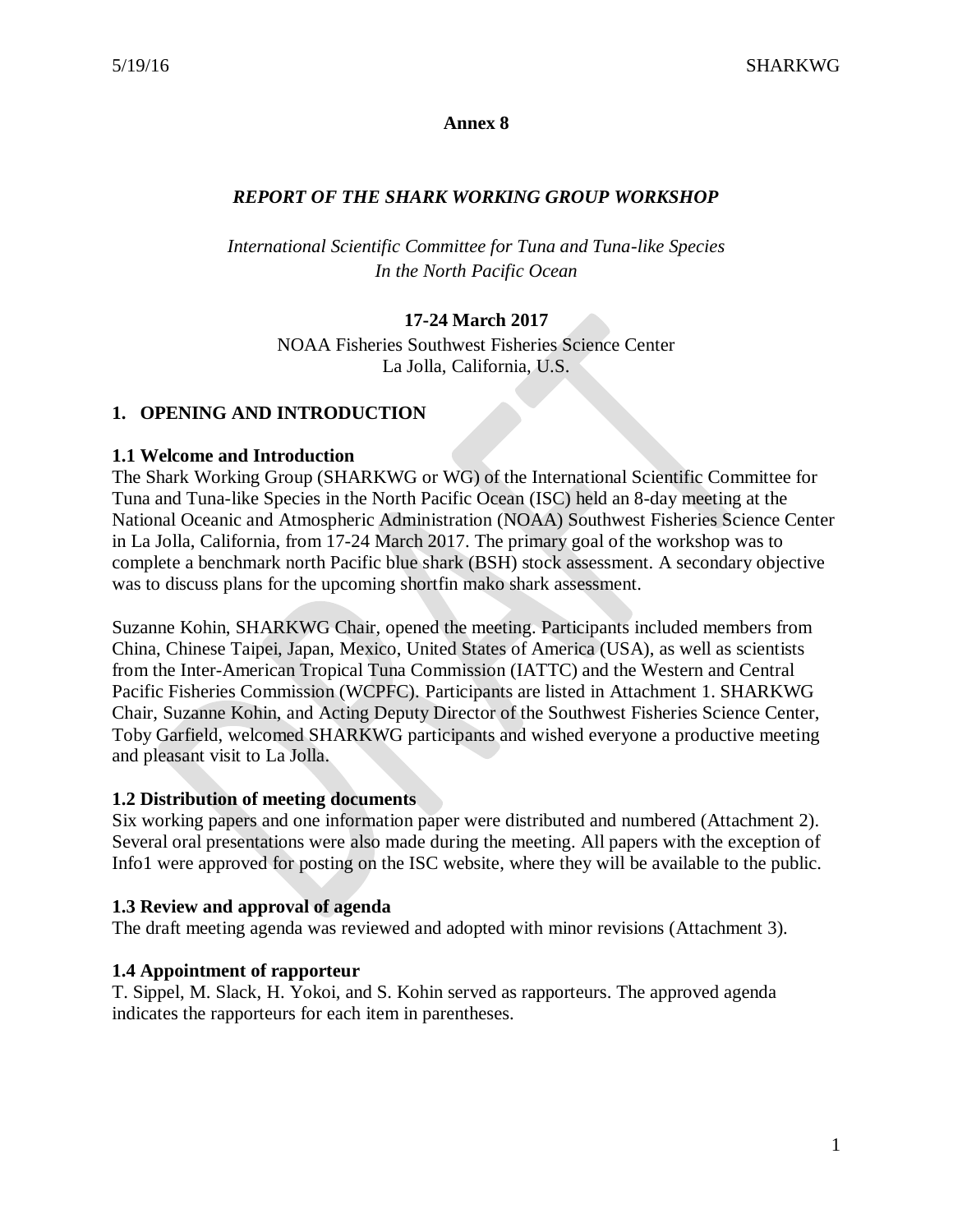## **Annex 8**

# *REPORT OF THE SHARK WORKING GROUP WORKSHOP*

*International Scientific Committee for Tuna and Tuna-like Species In the North Pacific Ocean*

# **17-24 March 2017**

NOAA Fisheries Southwest Fisheries Science Center La Jolla, California, U.S.

## **1. OPENING AND INTRODUCTION**

## **1.1 Welcome and Introduction**

The Shark Working Group (SHARKWG or WG) of the International Scientific Committee for Tuna and Tuna-like Species in the North Pacific Ocean (ISC) held an 8-day meeting at the National Oceanic and Atmospheric Administration (NOAA) Southwest Fisheries Science Center in La Jolla, California, from 17-24 March 2017. The primary goal of the workshop was to complete a benchmark north Pacific blue shark (BSH) stock assessment. A secondary objective was to discuss plans for the upcoming shortfin mako shark assessment.

Suzanne Kohin, SHARKWG Chair, opened the meeting. Participants included members from China, Chinese Taipei, Japan, Mexico, United States of America (USA), as well as scientists from the Inter-American Tropical Tuna Commission (IATTC) and the Western and Central Pacific Fisheries Commission (WCPFC). Participants are listed in Attachment 1. SHARKWG Chair, Suzanne Kohin, and Acting Deputy Director of the Southwest Fisheries Science Center, Toby Garfield, welcomed SHARKWG participants and wished everyone a productive meeting and pleasant visit to La Jolla.

## **1.2 Distribution of meeting documents**

Six working papers and one information paper were distributed and numbered (Attachment 2). Several oral presentations were also made during the meeting. All papers with the exception of Info1 were approved for posting on the ISC website, where they will be available to the public.

## **1.3 Review and approval of agenda**

The draft meeting agenda was reviewed and adopted with minor revisions (Attachment 3).

## **1.4 Appointment of rapporteur**

T. Sippel, M. Slack, H. Yokoi, and S. Kohin served as rapporteurs. The approved agenda indicates the rapporteurs for each item in parentheses.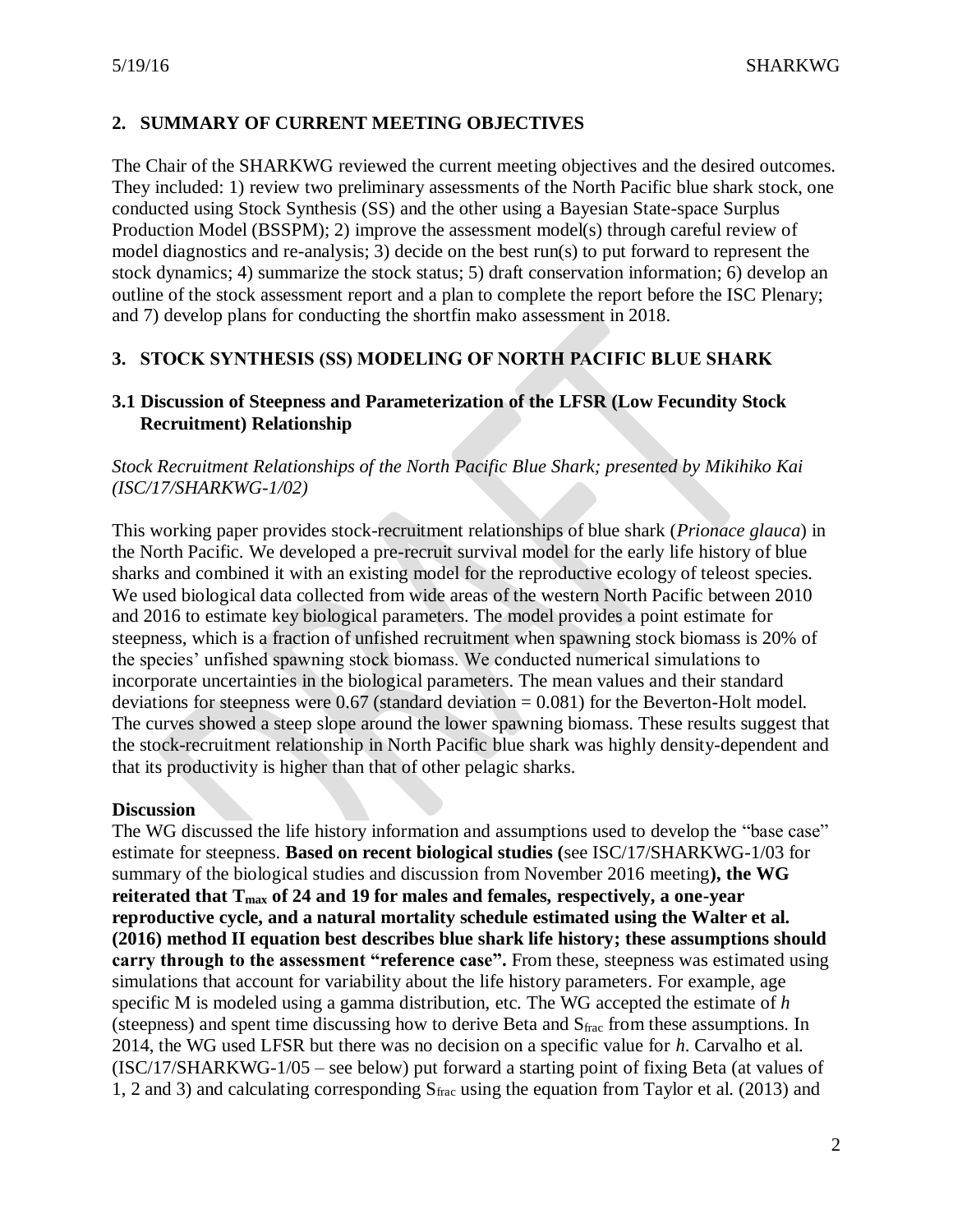# **2. SUMMARY OF CURRENT MEETING OBJECTIVES**

The Chair of the SHARKWG reviewed the current meeting objectives and the desired outcomes. They included: 1) review two preliminary assessments of the North Pacific blue shark stock, one conducted using Stock Synthesis (SS) and the other using a Bayesian State-space Surplus Production Model (BSSPM); 2) improve the assessment model(s) through careful review of model diagnostics and re-analysis; 3) decide on the best run(s) to put forward to represent the stock dynamics; 4) summarize the stock status; 5) draft conservation information; 6) develop an outline of the stock assessment report and a plan to complete the report before the ISC Plenary; and 7) develop plans for conducting the shortfin mako assessment in 2018.

# **3. STOCK SYNTHESIS (SS) MODELING OF NORTH PACIFIC BLUE SHARK**

# **3.1 Discussion of Steepness and Parameterization of the LFSR (Low Fecundity Stock Recruitment) Relationship**

*Stock Recruitment Relationships of the North Pacific Blue Shark; presented by Mikihiko Kai (ISC/17/SHARKWG-1/02)*

This working paper provides stock-recruitment relationships of blue shark (*Prionace glauca*) in the North Pacific. We developed a pre-recruit survival model for the early life history of blue sharks and combined it with an existing model for the reproductive ecology of teleost species. We used biological data collected from wide areas of the western North Pacific between 2010 and 2016 to estimate key biological parameters. The model provides a point estimate for steepness, which is a fraction of unfished recruitment when spawning stock biomass is 20% of the species' unfished spawning stock biomass. We conducted numerical simulations to incorporate uncertainties in the biological parameters. The mean values and their standard deviations for steepness were  $0.67$  (standard deviation =  $0.081$ ) for the Beverton-Holt model. The curves showed a steep slope around the lower spawning biomass. These results suggest that the stock-recruitment relationship in North Pacific blue shark was highly density-dependent and that its productivity is higher than that of other pelagic sharks.

## **Discussion**

The WG discussed the life history information and assumptions used to develop the "base case" estimate for steepness. **Based on recent biological studies (**see ISC/17/SHARKWG-1/03 for summary of the biological studies and discussion from November 2016 meeting**), the WG reiterated that Tmax of 24 and 19 for males and females, respectively, a one-year reproductive cycle, and a natural mortality schedule estimated using the Walter et al. (2016) method II equation best describes blue shark life history; these assumptions should carry through to the assessment "reference case".** From these, steepness was estimated using simulations that account for variability about the life history parameters. For example, age specific M is modeled using a gamma distribution, etc. The WG accepted the estimate of *h* (steepness) and spent time discussing how to derive Beta and  $S_{\text{frac}}$  from these assumptions. In 2014, the WG used LFSR but there was no decision on a specific value for *h*. Carvalho et al. (ISC/17/SHARKWG-1/05 – see below) put forward a starting point of fixing Beta (at values of 1, 2 and 3) and calculating corresponding  $S_{\text{frac}}$  using the equation from Taylor et al. (2013) and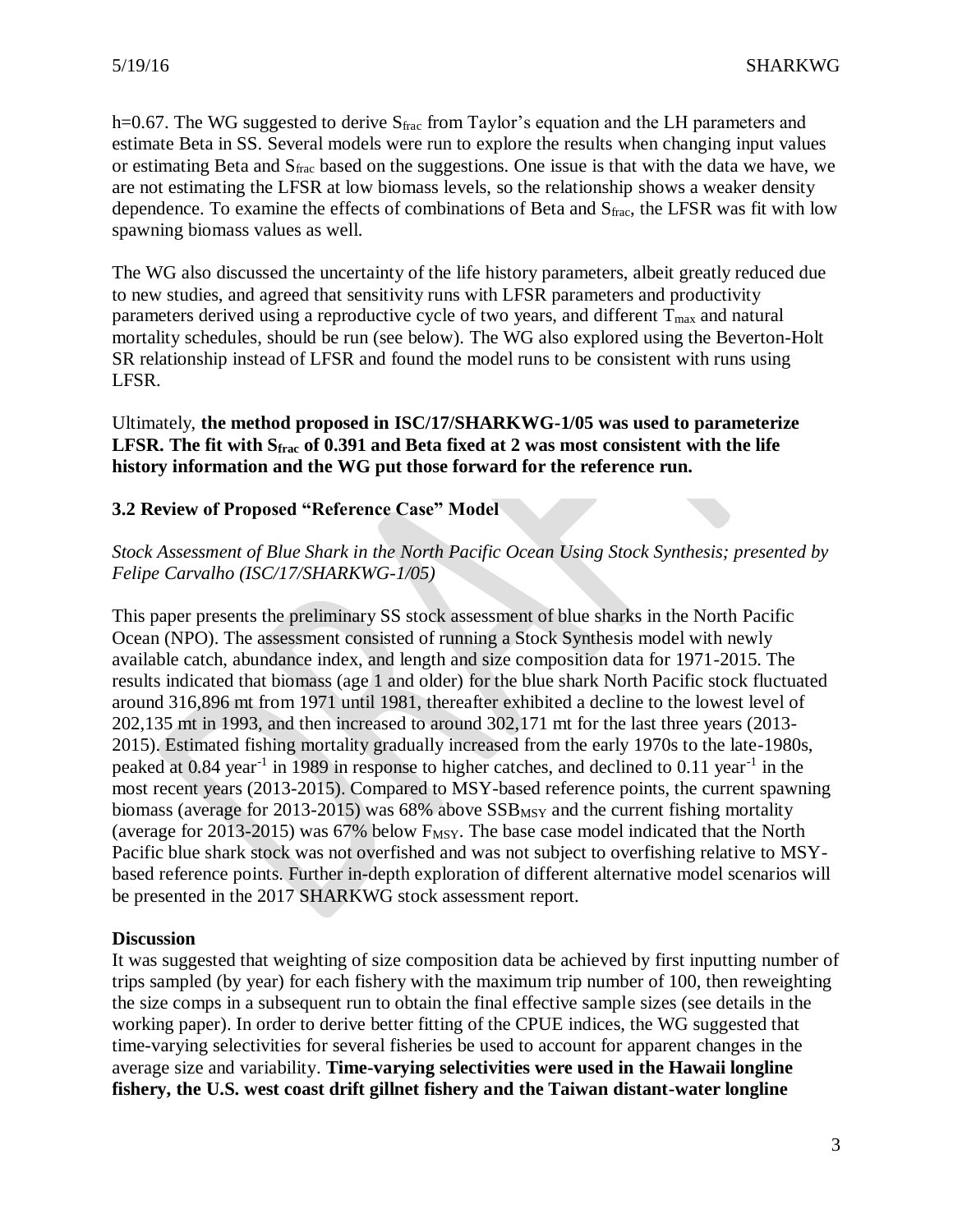h=0.67. The WG suggested to derive S<sub>frac</sub> from Taylor's equation and the LH parameters and estimate Beta in SS. Several models were run to explore the results when changing input values or estimating Beta and Sfrac based on the suggestions. One issue is that with the data we have, we are not estimating the LFSR at low biomass levels, so the relationship shows a weaker density dependence. To examine the effects of combinations of Beta and  $S_{\text{frac}}$ , the LFSR was fit with low spawning biomass values as well.

The WG also discussed the uncertainty of the life history parameters, albeit greatly reduced due to new studies, and agreed that sensitivity runs with LFSR parameters and productivity parameters derived using a reproductive cycle of two years, and different  $T_{\text{max}}$  and natural mortality schedules, should be run (see below). The WG also explored using the Beverton-Holt SR relationship instead of LFSR and found the model runs to be consistent with runs using LFSR.

Ultimately, **the method proposed in ISC/17/SHARKWG-1/05 was used to parameterize LFSR. The fit with Sfrac of 0.391 and Beta fixed at 2 was most consistent with the life history information and the WG put those forward for the reference run.**

# **3.2 Review of Proposed "Reference Case" Model**

## *Stock Assessment of Blue Shark in the North Pacific Ocean Using Stock Synthesis; presented by Felipe Carvalho (ISC/17/SHARKWG-1/05)*

This paper presents the preliminary SS stock assessment of blue sharks in the North Pacific Ocean (NPO). The assessment consisted of running a Stock Synthesis model with newly available catch, abundance index, and length and size composition data for 1971-2015. The results indicated that biomass (age 1 and older) for the blue shark North Pacific stock fluctuated around 316,896 mt from 1971 until 1981, thereafter exhibited a decline to the lowest level of 202,135 mt in 1993, and then increased to around 302,171 mt for the last three years (2013- 2015). Estimated fishing mortality gradually increased from the early 1970s to the late-1980s, peaked at 0.84 year<sup>-1</sup> in 1989 in response to higher catches, and declined to 0.11 year<sup>-1</sup> in the most recent years (2013-2015). Compared to MSY-based reference points, the current spawning biomass (average for 2013-2015) was  $68\%$  above  $SSB_{MSY}$  and the current fishing mortality (average for 2013-2015) was  $67\%$  below  $F_{MSY}$ . The base case model indicated that the North Pacific blue shark stock was not overfished and was not subject to overfishing relative to MSYbased reference points. Further in-depth exploration of different alternative model scenarios will be presented in the 2017 SHARKWG stock assessment report.

## **Discussion**

It was suggested that weighting of size composition data be achieved by first inputting number of trips sampled (by year) for each fishery with the maximum trip number of 100, then reweighting the size comps in a subsequent run to obtain the final effective sample sizes (see details in the working paper). In order to derive better fitting of the CPUE indices, the WG suggested that time-varying selectivities for several fisheries be used to account for apparent changes in the average size and variability. **Time-varying selectivities were used in the Hawaii longline fishery, the U.S. west coast drift gillnet fishery and the Taiwan distant-water longline**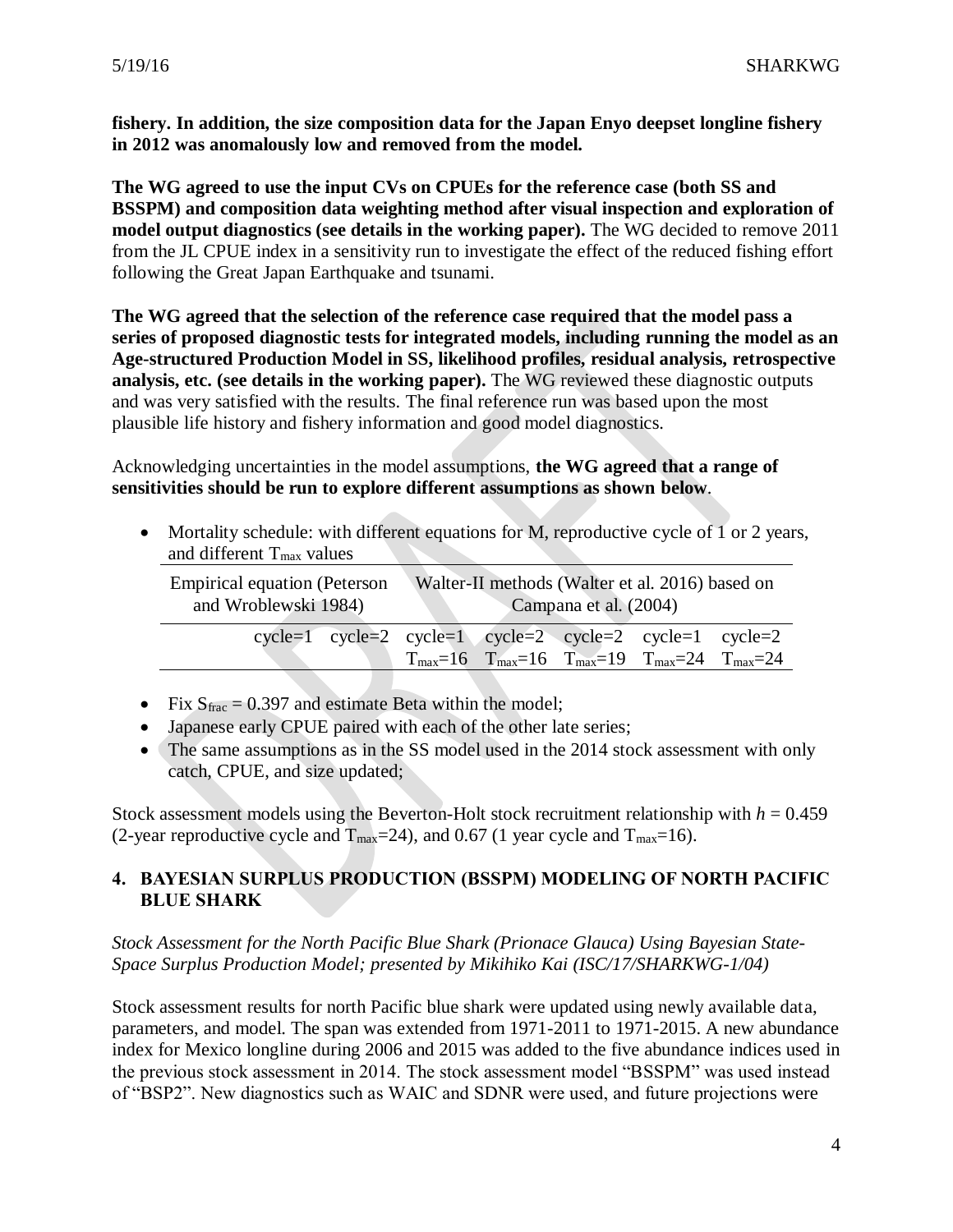**fishery. In addition, the size composition data for the Japan Enyo deepset longline fishery in 2012 was anomalously low and removed from the model.**

**The WG agreed to use the input CVs on CPUEs for the reference case (both SS and BSSPM) and composition data weighting method after visual inspection and exploration of model output diagnostics (see details in the working paper).** The WG decided to remove 2011 from the JL CPUE index in a sensitivity run to investigate the effect of the reduced fishing effort following the Great Japan Earthquake and tsunami.

**The WG agreed that the selection of the reference case required that the model pass a series of proposed diagnostic tests for integrated models, including running the model as an Age-structured Production Model in SS, likelihood profiles, residual analysis, retrospective analysis, etc. (see details in the working paper).** The WG reviewed these diagnostic outputs and was very satisfied with the results. The final reference run was based upon the most plausible life history and fishery information and good model diagnostics.

Acknowledging uncertainties in the model assumptions, **the WG agreed that a range of sensitivities should be run to explore different assumptions as shown below**.

• Mortality schedule: with different equations for M, reproductive cycle of 1 or 2 years, and different  $T_{\text{max}}$  values

| <b>Empirical equation (Peterson</b><br>and Wroblewski 1984) | Walter-II methods (Walter et al. 2016) based on<br>Campana et al. (2004) |  |  |                                                                                                               |  |
|-------------------------------------------------------------|--------------------------------------------------------------------------|--|--|---------------------------------------------------------------------------------------------------------------|--|
| $cycle=1$ cycle=2 cycle=1 cycle=2 cycle=2 cycle=1 cycle=2   |                                                                          |  |  | $T_{\text{max}} = 16$ $T_{\text{max}} = 16$ $T_{\text{max}} = 19$ $T_{\text{max}} = 24$ $T_{\text{max}} = 24$ |  |

- Fix  $S_{\text{frac}} = 0.397$  and estimate Beta within the model;
- Japanese early CPUE paired with each of the other late series;
- The same assumptions as in the SS model used in the 2014 stock assessment with only catch, CPUE, and size updated;

Stock assessment models using the Beverton-Holt stock recruitment relationship with  $h = 0.459$ (2-year reproductive cycle and  $T_{\text{max}}=24$ ), and 0.67 (1 year cycle and  $T_{\text{max}}=16$ ).

# **4. BAYESIAN SURPLUS PRODUCTION (BSSPM) MODELING OF NORTH PACIFIC BLUE SHARK**

*Stock Assessment for the North Pacific Blue Shark (Prionace Glauca) Using Bayesian State-Space Surplus Production Model; presented by Mikihiko Kai (ISC/17/SHARKWG-1/04)*

Stock assessment results for north Pacific blue shark were updated using newly available data, parameters, and model. The span was extended from 1971-2011 to 1971-2015. A new abundance index for Mexico longline during 2006 and 2015 was added to the five abundance indices used in the previous stock assessment in 2014. The stock assessment model "BSSPM" was used instead of "BSP2". New diagnostics such as WAIC and SDNR were used, and future projections were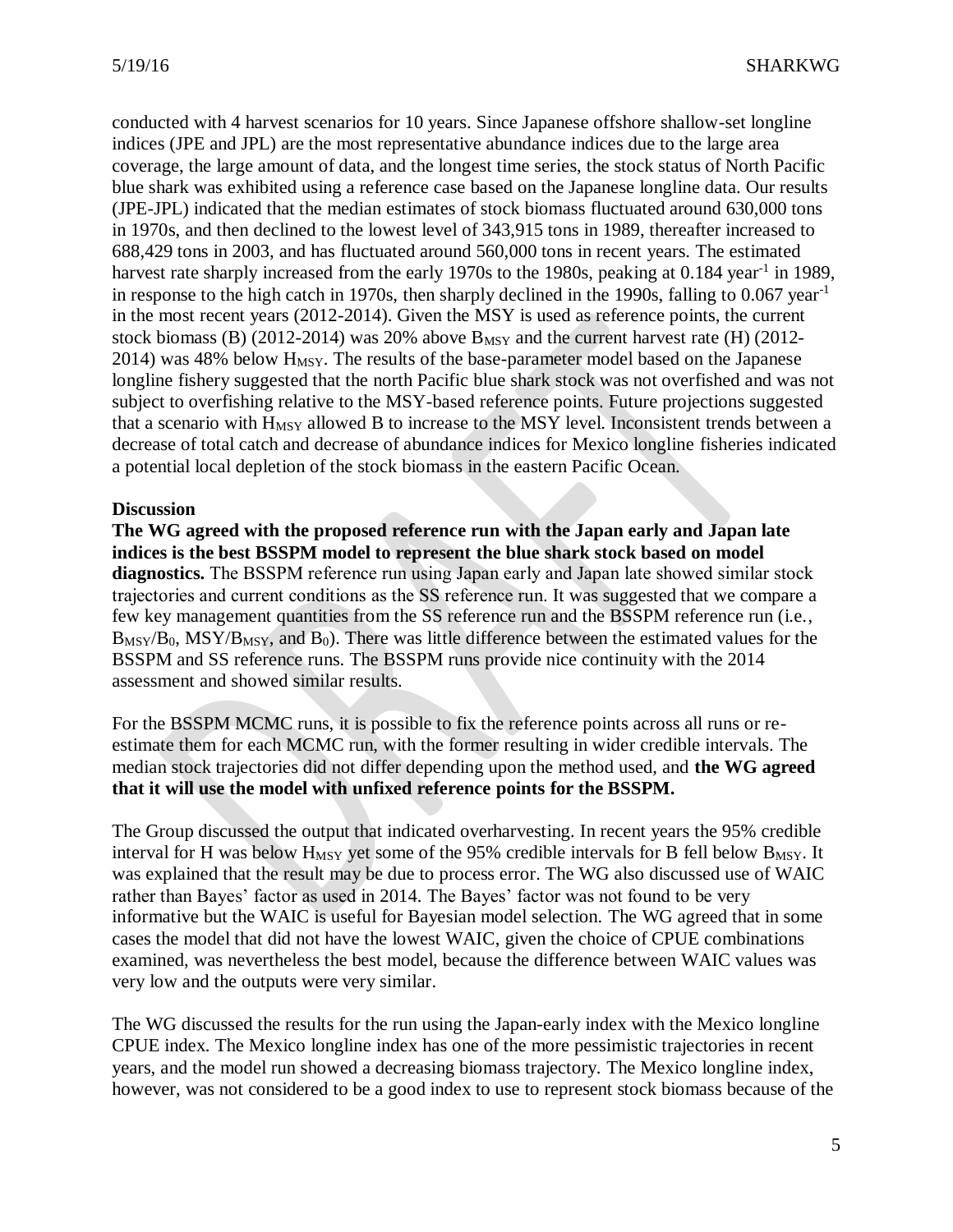conducted with 4 harvest scenarios for 10 years. Since Japanese offshore shallow-set longline indices (JPE and JPL) are the most representative abundance indices due to the large area coverage, the large amount of data, and the longest time series, the stock status of North Pacific blue shark was exhibited using a reference case based on the Japanese longline data. Our results (JPE-JPL) indicated that the median estimates of stock biomass fluctuated around 630,000 tons in 1970s, and then declined to the lowest level of 343,915 tons in 1989, thereafter increased to 688,429 tons in 2003, and has fluctuated around 560,000 tons in recent years. The estimated harvest rate sharply increased from the early 1970s to the 1980s, peaking at 0.184 year<sup>-1</sup> in 1989, in response to the high catch in 1970s, then sharply declined in the 1990s, falling to  $0.067$  year<sup>-1</sup> in the most recent years (2012-2014). Given the MSY is used as reference points, the current stock biomass (B) (2012-2014) was 20% above  $B_{MSY}$  and the current harvest rate (H) (2012- $2014$ ) was 48% below  $H_{MSY}$ . The results of the base-parameter model based on the Japanese longline fishery suggested that the north Pacific blue shark stock was not overfished and was not subject to overfishing relative to the MSY-based reference points. Future projections suggested that a scenario with  $H_{MSY}$  allowed B to increase to the MSY level. Inconsistent trends between a decrease of total catch and decrease of abundance indices for Mexico longline fisheries indicated a potential local depletion of the stock biomass in the eastern Pacific Ocean.

## **Discussion**

**The WG agreed with the proposed reference run with the Japan early and Japan late indices is the best BSSPM model to represent the blue shark stock based on model diagnostics.** The BSSPM reference run using Japan early and Japan late showed similar stock trajectories and current conditions as the SS reference run. It was suggested that we compare a few key management quantities from the SS reference run and the BSSPM reference run (i.e.,  $B_{\rm MSY}/B_0$ , MSY/ $B_{\rm MSY}$ , and  $B_0$ ). There was little difference between the estimated values for the BSSPM and SS reference runs. The BSSPM runs provide nice continuity with the 2014 assessment and showed similar results.

For the BSSPM MCMC runs, it is possible to fix the reference points across all runs or reestimate them for each MCMC run, with the former resulting in wider credible intervals. The median stock trajectories did not differ depending upon the method used, and **the WG agreed that it will use the model with unfixed reference points for the BSSPM.**

The Group discussed the output that indicated overharvesting. In recent years the 95% credible interval for H was below  $H_{MSY}$  yet some of the 95% credible intervals for B fell below  $B_{MSY}$ . It was explained that the result may be due to process error. The WG also discussed use of WAIC rather than Bayes' factor as used in 2014. The Bayes' factor was not found to be very informative but the WAIC is useful for Bayesian model selection. The WG agreed that in some cases the model that did not have the lowest WAIC, given the choice of CPUE combinations examined, was nevertheless the best model, because the difference between WAIC values was very low and the outputs were very similar.

The WG discussed the results for the run using the Japan-early index with the Mexico longline CPUE index. The Mexico longline index has one of the more pessimistic trajectories in recent years, and the model run showed a decreasing biomass trajectory. The Mexico longline index, however, was not considered to be a good index to use to represent stock biomass because of the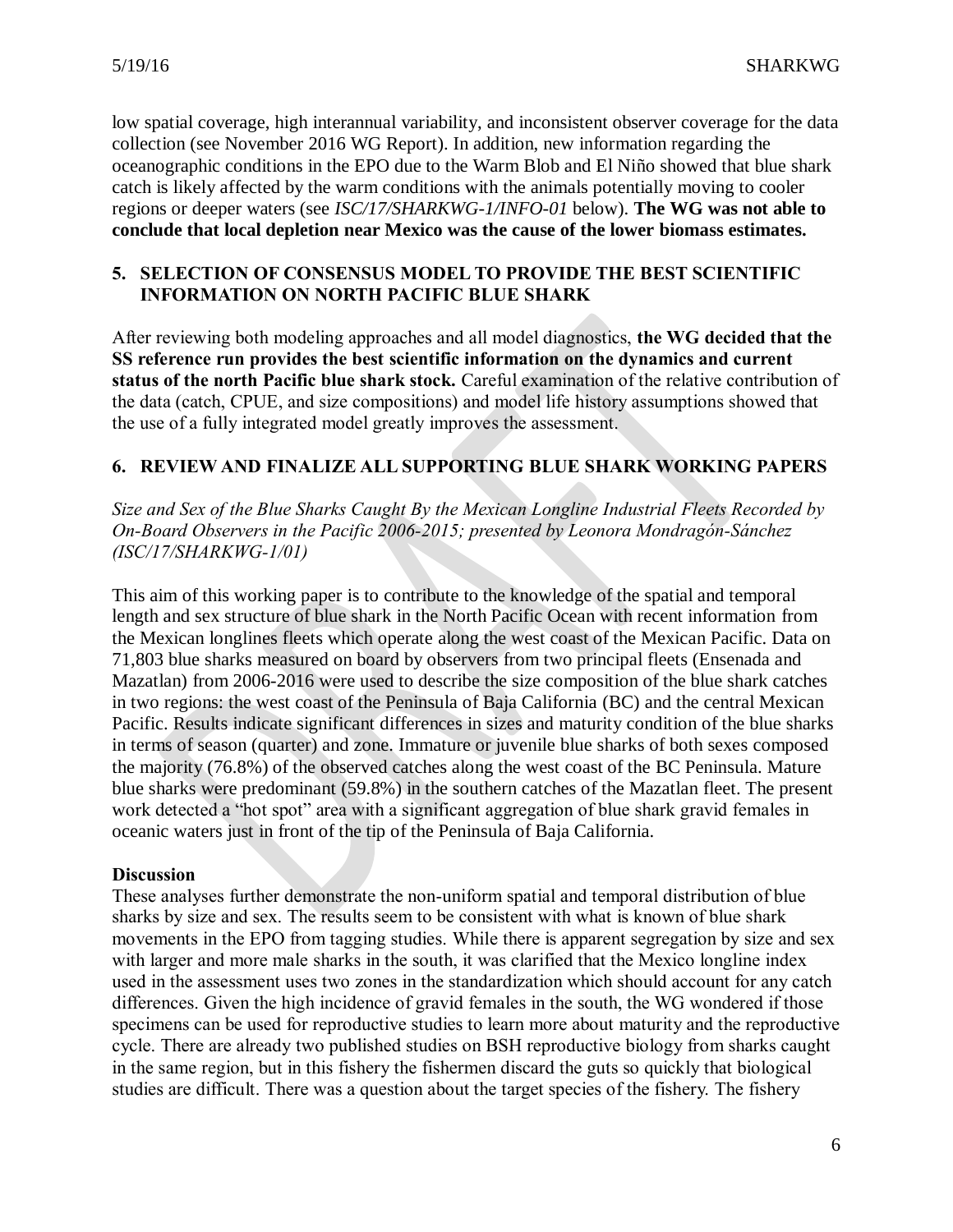low spatial coverage, high interannual variability, and inconsistent observer coverage for the data collection (see November 2016 WG Report). In addition, new information regarding the oceanographic conditions in the EPO due to the Warm Blob and El Niño showed that blue shark catch is likely affected by the warm conditions with the animals potentially moving to cooler regions or deeper waters (see *ISC/17/SHARKWG-1/INFO-01* below). **The WG was not able to conclude that local depletion near Mexico was the cause of the lower biomass estimates.**

# **5. SELECTION OF CONSENSUS MODEL TO PROVIDE THE BEST SCIENTIFIC INFORMATION ON NORTH PACIFIC BLUE SHARK**

After reviewing both modeling approaches and all model diagnostics, **the WG decided that the SS reference run provides the best scientific information on the dynamics and current status of the north Pacific blue shark stock.** Careful examination of the relative contribution of the data (catch, CPUE, and size compositions) and model life history assumptions showed that the use of a fully integrated model greatly improves the assessment.

# **6. REVIEW AND FINALIZE ALL SUPPORTING BLUE SHARK WORKING PAPERS**

*Size and Sex of the Blue Sharks Caught By the Mexican Longline Industrial Fleets Recorded by On-Board Observers in the Pacific 2006-2015; presented by Leonora Mondragón-Sánchez (ISC/17/SHARKWG-1/01)*

This aim of this working paper is to contribute to the knowledge of the spatial and temporal length and sex structure of blue shark in the North Pacific Ocean with recent information from the Mexican longlines fleets which operate along the west coast of the Mexican Pacific. Data on 71,803 blue sharks measured on board by observers from two principal fleets (Ensenada and Mazatlan) from 2006-2016 were used to describe the size composition of the blue shark catches in two regions: the west coast of the Peninsula of Baja California (BC) and the central Mexican Pacific. Results indicate significant differences in sizes and maturity condition of the blue sharks in terms of season (quarter) and zone. Immature or juvenile blue sharks of both sexes composed the majority (76.8%) of the observed catches along the west coast of the BC Peninsula. Mature blue sharks were predominant (59.8%) in the southern catches of the Mazatlan fleet. The present work detected a "hot spot" area with a significant aggregation of blue shark gravid females in oceanic waters just in front of the tip of the Peninsula of Baja California.

## **Discussion**

These analyses further demonstrate the non-uniform spatial and temporal distribution of blue sharks by size and sex. The results seem to be consistent with what is known of blue shark movements in the EPO from tagging studies. While there is apparent segregation by size and sex with larger and more male sharks in the south, it was clarified that the Mexico longline index used in the assessment uses two zones in the standardization which should account for any catch differences. Given the high incidence of gravid females in the south, the WG wondered if those specimens can be used for reproductive studies to learn more about maturity and the reproductive cycle. There are already two published studies on BSH reproductive biology from sharks caught in the same region, but in this fishery the fishermen discard the guts so quickly that biological studies are difficult. There was a question about the target species of the fishery. The fishery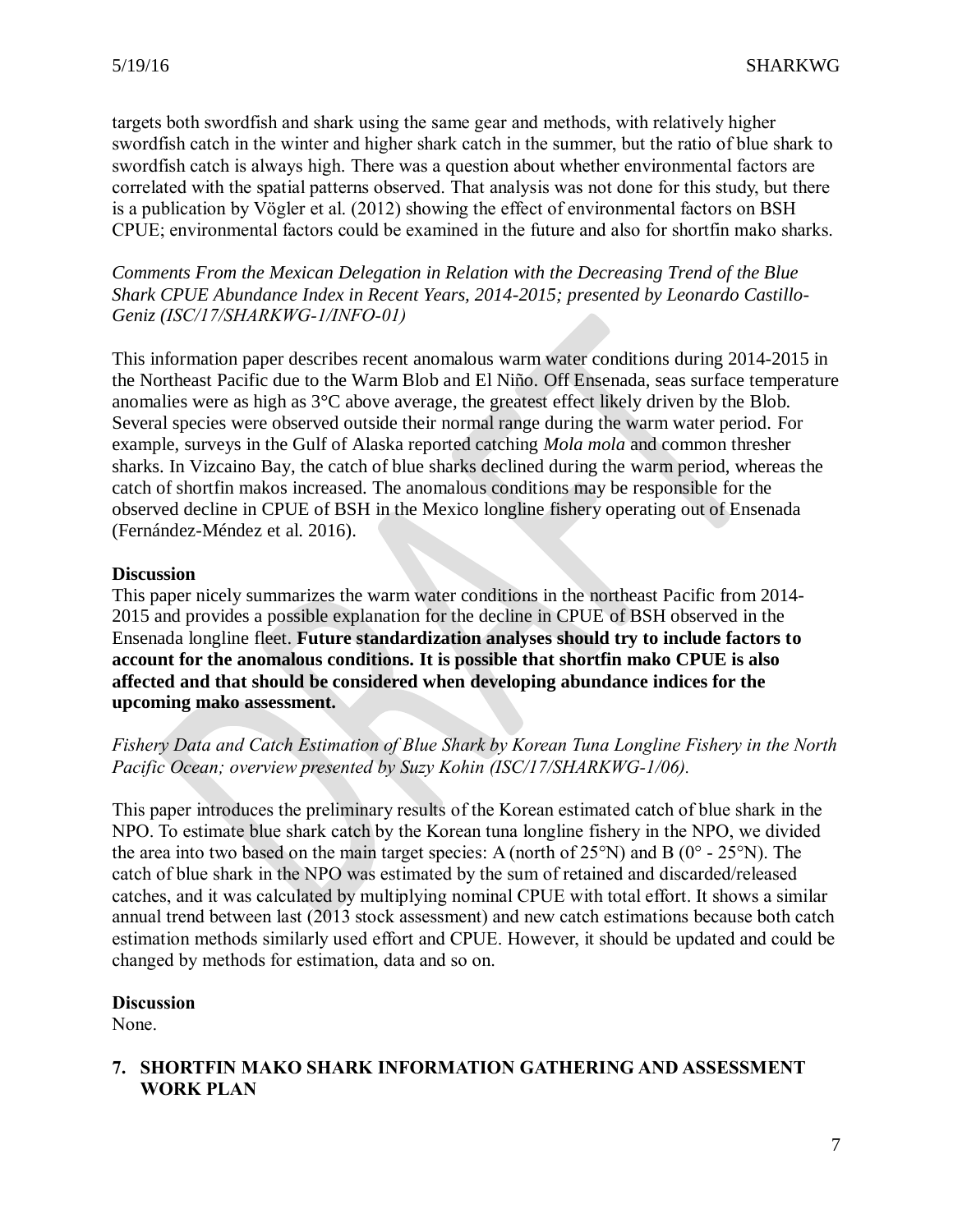targets both swordfish and shark using the same gear and methods, with relatively higher swordfish catch in the winter and higher shark catch in the summer, but the ratio of blue shark to swordfish catch is always high. There was a question about whether environmental factors are correlated with the spatial patterns observed. That analysis was not done for this study, but there is a publication by Vögler et al. (2012) showing the effect of environmental factors on BSH CPUE; environmental factors could be examined in the future and also for shortfin mako sharks.

*Comments From the Mexican Delegation in Relation with the Decreasing Trend of the Blue Shark CPUE Abundance Index in Recent Years, 2014-2015; presented by Leonardo Castillo-Geniz (ISC/17/SHARKWG-1/INFO-01)*

This information paper describes recent anomalous warm water conditions during 2014-2015 in the Northeast Pacific due to the Warm Blob and El Niño. Off Ensenada, seas surface temperature anomalies were as high as 3°C above average, the greatest effect likely driven by the Blob. Several species were observed outside their normal range during the warm water period. For example, surveys in the Gulf of Alaska reported catching *Mola mola* and common thresher sharks. In Vizcaino Bay, the catch of blue sharks declined during the warm period, whereas the catch of shortfin makos increased. The anomalous conditions may be responsible for the observed decline in CPUE of BSH in the Mexico longline fishery operating out of Ensenada (Fernández-Méndez et al. 2016).

## **Discussion**

This paper nicely summarizes the warm water conditions in the northeast Pacific from 2014- 2015 and provides a possible explanation for the decline in CPUE of BSH observed in the Ensenada longline fleet. **Future standardization analyses should try to include factors to account for the anomalous conditions. It is possible that shortfin mako CPUE is also affected and that should be considered when developing abundance indices for the upcoming mako assessment.**

# *Fishery Data and Catch Estimation of Blue Shark by Korean Tuna Longline Fishery in the North Pacific Ocean; overview presented by Suzy Kohin (ISC/17/SHARKWG-1/06).*

This paper introduces the preliminary results of the Korean estimated catch of blue shark in the NPO. To estimate blue shark catch by the Korean tuna longline fishery in the NPO, we divided the area into two based on the main target species: A (north of  $25^{\circ}$ N) and B (0° -  $25^{\circ}$ N). The catch of blue shark in the NPO was estimated by the sum of retained and discarded/released catches, and it was calculated by multiplying nominal CPUE with total effort. It shows a similar annual trend between last (2013 stock assessment) and new catch estimations because both catch estimation methods similarly used effort and CPUE. However, it should be updated and could be changed by methods for estimation, data and so on.

## **Discussion**

None.

## **7. SHORTFIN MAKO SHARK INFORMATION GATHERING AND ASSESSMENT WORK PLAN**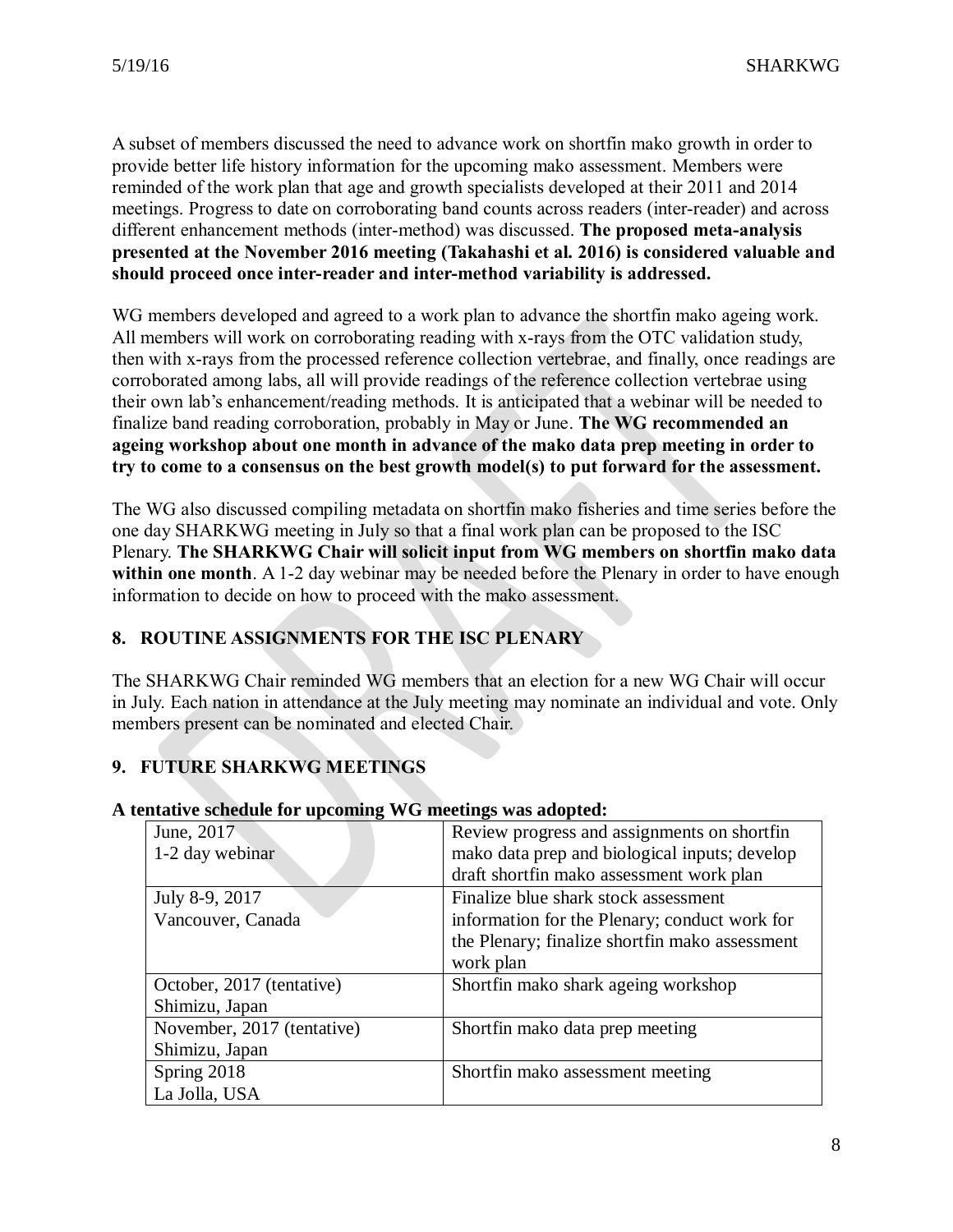A subset of members discussed the need to advance work on shortfin mako growth in order to provide better life history information for the upcoming mako assessment. Members were reminded of the work plan that age and growth specialists developed at their 2011 and 2014 meetings. Progress to date on corroborating band counts across readers (inter-reader) and across different enhancement methods (inter-method) was discussed. **The proposed meta-analysis presented at the November 2016 meeting (Takahashi et al. 2016) is considered valuable and should proceed once inter-reader and inter-method variability is addressed.**

WG members developed and agreed to a work plan to advance the shortfin mako ageing work. All members will work on corroborating reading with x-rays from the OTC validation study, then with x-rays from the processed reference collection vertebrae, and finally, once readings are corroborated among labs, all will provide readings of the reference collection vertebrae using their own lab's enhancement/reading methods. It is anticipated that a webinar will be needed to finalize band reading corroboration, probably in May or June. **The WG recommended an ageing workshop about one month in advance of the mako data prep meeting in order to try to come to a consensus on the best growth model(s) to put forward for the assessment.**

The WG also discussed compiling metadata on shortfin mako fisheries and time series before the one day SHARKWG meeting in July so that a final work plan can be proposed to the ISC Plenary. **The SHARKWG Chair will solicit input from WG members on shortfin mako data**  within one month. A 1-2 day webinar may be needed before the Plenary in order to have enough information to decide on how to proceed with the mako assessment.

# **8. ROUTINE ASSIGNMENTS FOR THE ISC PLENARY**

The SHARKWG Chair reminded WG members that an election for a new WG Chair will occur in July. Each nation in attendance at the July meeting may nominate an individual and vote. Only members present can be nominated and elected Chair.

# **9. FUTURE SHARKWG MEETINGS**

| June, 2017                 | Review progress and assignments on shortfin    |
|----------------------------|------------------------------------------------|
| 1-2 day webinar            | mako data prep and biological inputs; develop  |
|                            | draft shortfin mako assessment work plan       |
| July 8-9, 2017             | Finalize blue shark stock assessment           |
| Vancouver, Canada          | information for the Plenary; conduct work for  |
|                            | the Plenary; finalize shortfin mako assessment |
|                            | work plan                                      |
| October, 2017 (tentative)  | Shortfin mako shark ageing workshop            |
| Shimizu, Japan             |                                                |
| November, 2017 (tentative) | Shortfin mako data prep meeting                |
| Shimizu, Japan             |                                                |
| Spring 2018                | Shortfin mako assessment meeting               |
| La Jolla, USA              |                                                |

## **A tentative schedule for upcoming WG meetings was adopted:**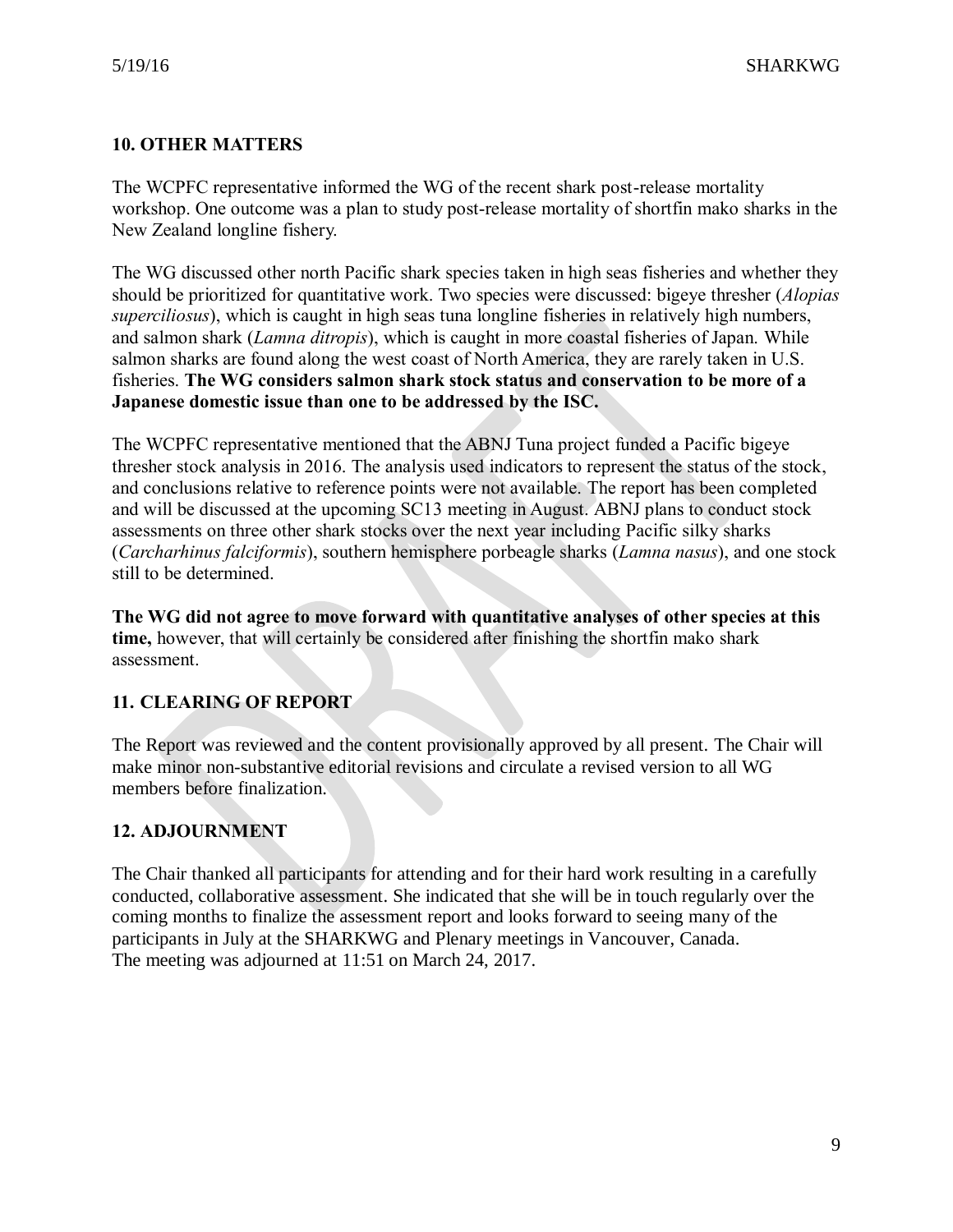# **10. OTHER MATTERS**

The WCPFC representative informed the WG of the recent shark post-release mortality workshop. One outcome was a plan to study post-release mortality of shortfin mako sharks in the New Zealand longline fishery.

The WG discussed other north Pacific shark species taken in high seas fisheries and whether they should be prioritized for quantitative work. Two species were discussed: bigeye thresher (*Alopias superciliosus*), which is caught in high seas tuna longline fisheries in relatively high numbers, and salmon shark (*Lamna ditropis*), which is caught in more coastal fisheries of Japan. While salmon sharks are found along the west coast of North America, they are rarely taken in U.S. fisheries. **The WG considers salmon shark stock status and conservation to be more of a Japanese domestic issue than one to be addressed by the ISC.**

The WCPFC representative mentioned that the ABNJ Tuna project funded a Pacific bigeye thresher stock analysis in 2016. The analysis used indicators to represent the status of the stock, and conclusions relative to reference points were not available. The report has been completed and will be discussed at the upcoming SC13 meeting in August. ABNJ plans to conduct stock assessments on three other shark stocks over the next year including Pacific silky sharks (*Carcharhinus falciformis*), southern hemisphere porbeagle sharks (*Lamna nasus*), and one stock still to be determined.

**The WG did not agree to move forward with quantitative analyses of other species at this time,** however, that will certainly be considered after finishing the shortfin mako shark assessment.

# **11. CLEARING OF REPORT**

The Report was reviewed and the content provisionally approved by all present. The Chair will make minor non-substantive editorial revisions and circulate a revised version to all WG members before finalization.

# **12. ADJOURNMENT**

The Chair thanked all participants for attending and for their hard work resulting in a carefully conducted, collaborative assessment. She indicated that she will be in touch regularly over the coming months to finalize the assessment report and looks forward to seeing many of the participants in July at the SHARKWG and Plenary meetings in Vancouver, Canada. The meeting was adjourned at 11:51 on March 24, 2017.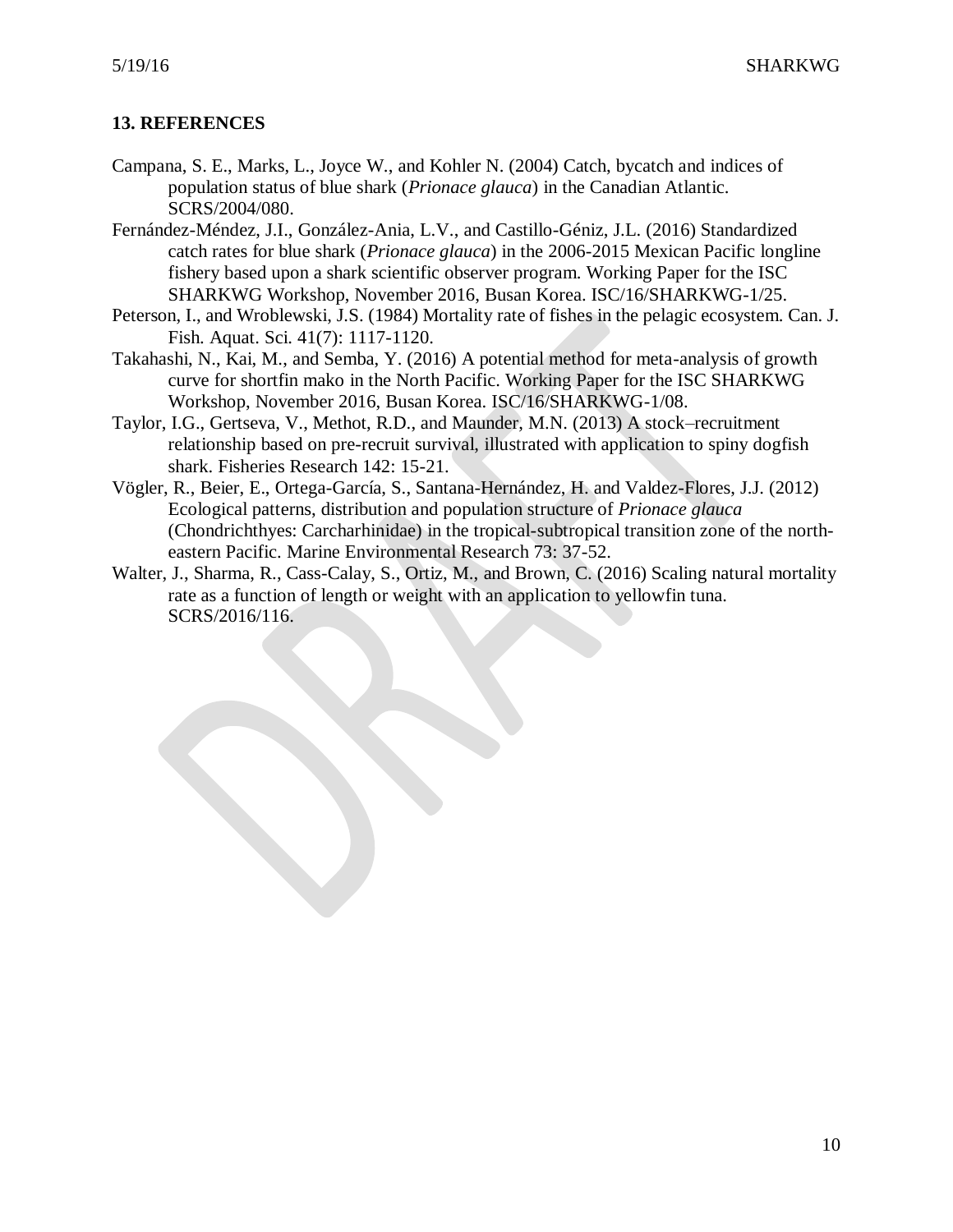# **13. REFERENCES**

- Campana, S. E., Marks, L., Joyce W., and Kohler N. (2004) Catch, bycatch and indices of population status of blue shark (*Prionace glauca*) in the Canadian Atlantic. SCRS/2004/080.
- Fernández-Méndez, J.I., González-Ania, L.V., and Castillo-Géniz, J.L. (2016) Standardized catch rates for blue shark (*Prionace glauca*) in the 2006-2015 Mexican Pacific longline fishery based upon a shark scientific observer program. Working Paper for the ISC SHARKWG Workshop, November 2016, Busan Korea. ISC/16/SHARKWG-1/25.
- Peterson, I., and Wroblewski, J.S. (1984) Mortality rate of fishes in the pelagic ecosystem. Can. J. Fish. Aquat. Sci. 41(7): 1117-1120.
- Takahashi, N., Kai, M., and Semba, Y. (2016) A potential method for meta-analysis of growth curve for shortfin mako in the North Pacific. Working Paper for the ISC SHARKWG Workshop, November 2016, Busan Korea. ISC/16/SHARKWG-1/08.
- Taylor, I.G., Gertseva, V., Methot, R.D., and Maunder, M.N. (2013) A stock–recruitment relationship based on pre-recruit survival, illustrated with application to spiny dogfish shark. Fisheries Research 142: 15-21.
- Vögler, R., Beier, E., Ortega-García, S., Santana-Hernández, H. and Valdez-Flores, J.J. (2012) Ecological patterns, distribution and population structure of *Prionace glauca* (Chondrichthyes: Carcharhinidae) in the tropical-subtropical transition zone of the northeastern Pacific. Marine Environmental Research 73: 37-52.
- Walter, J., Sharma, R., Cass-Calay, S., Ortiz, M., and Brown, C. (2016) Scaling natural mortality rate as a function of length or weight with an application to yellowfin tuna. SCRS/2016/116.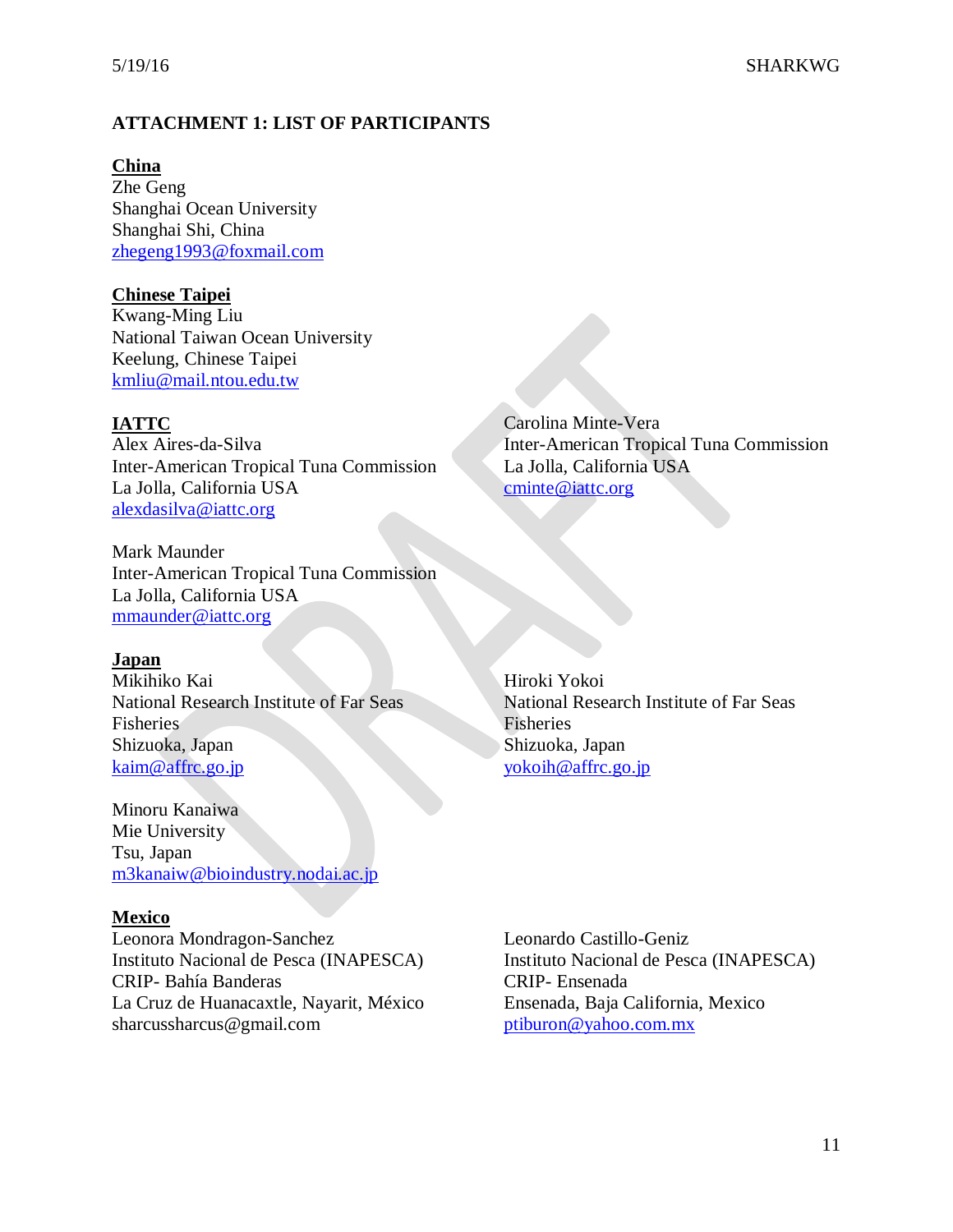# **ATTACHMENT 1: LIST OF PARTICIPANTS**

**China** Zhe Geng Shanghai Ocean University Shanghai Shi, China [zhegeng1993@foxmail.com](mailto:397698598@qq.com)

## **Chinese Taipei**

Kwang-Ming Liu National Taiwan Ocean University Keelung, Chinese Taipei [kmliu@mail.ntou.edu.tw](mailto:kmliu@mail.ntou.edu.tw)

## **IATTC**

Alex Aires-da-Silva Inter-American Tropical Tuna Commission La Jolla, California USA [alexdasilva@iattc.org](mailto:alexdasilva@iattc.org)

Mark Maunder Inter-American Tropical Tuna Commission La Jolla, California USA [mmaunder@iattc.org](mailto:mmaunder@iattc.org)

## **Japan**

Mikihiko Kai National Research Institute of Far Seas Fisheries Shizuoka, Japan [kaim@affrc.go.jp](mailto:kaim@affrc.go.jp)

Minoru Kanaiwa Mie University Tsu, Japan [m3kanaiw@bioindustry.nodai.ac.jp](mailto:m3kanaiw@bioindustry.nodai.ac.jp)

## **Mexico**

Leonora Mondragon-Sanchez Instituto Nacional de Pesca (INAPESCA) CRIP- Bahía Banderas La Cruz de Huanacaxtle, Nayarit, México [sharcussharcus@gmail.com](mailto:sharcussharcus@gmail.com)

Carolina Minte-Vera Inter-American Tropical Tuna Commission La Jolla, California USA [cminte@iattc.org](mailto:cminte@iattc.org)

Hiroki Yokoi National Research Institute of Far Seas Fisheries Shizuoka, Japan [yokoih@affrc.go.jp](mailto:yokoih@affrc.go.jp)

Leonardo Castillo-Geniz Instituto Nacional de Pesca (INAPESCA) CRIP- Ensenada Ensenada, Baja California, Mexico [ptiburon@yahoo.com.mx](mailto:ptiburon@yahoo.com.mx)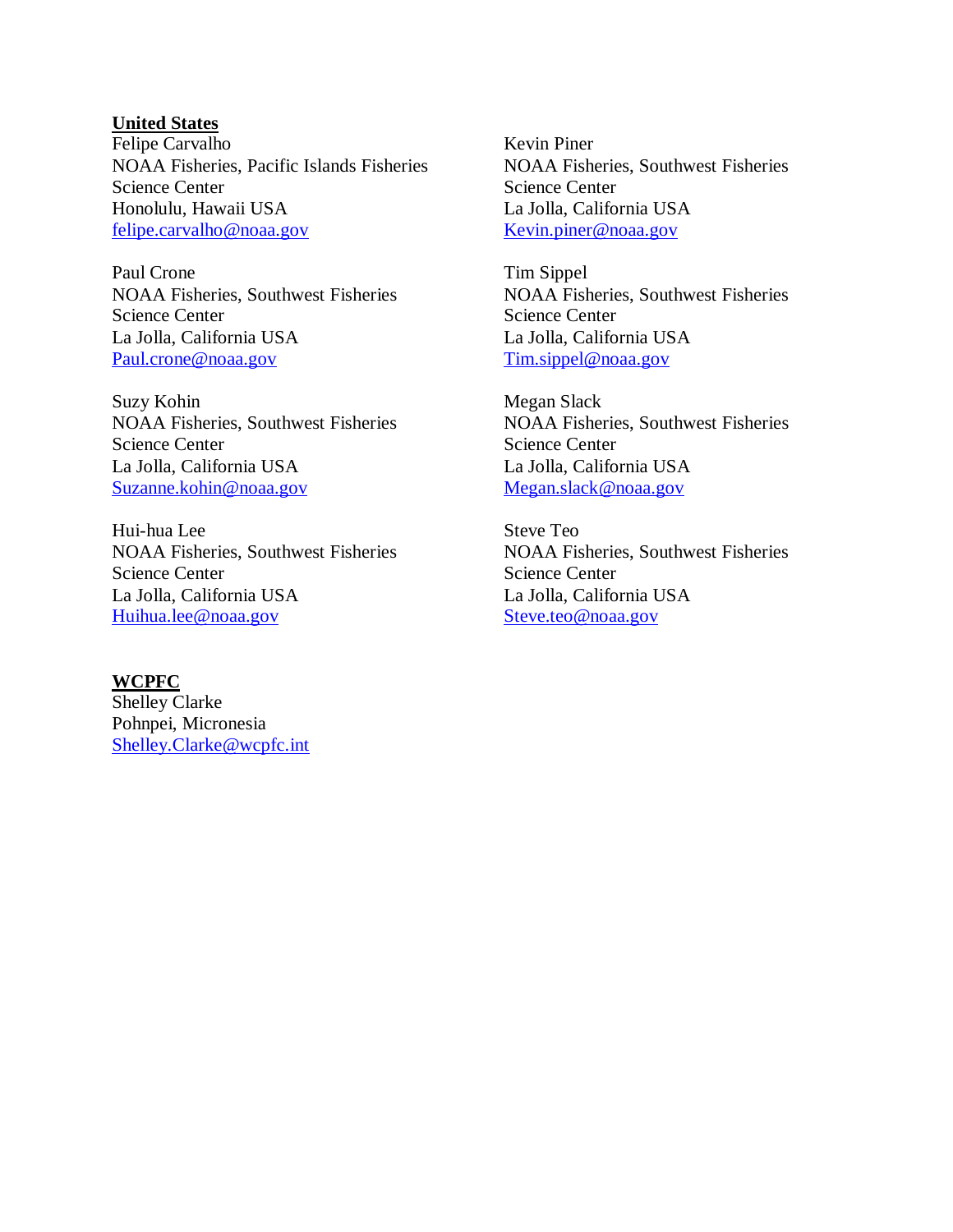## **United States**

Felipe Carvalho NOAA Fisheries, Pacific Islands Fisheries Science Center Honolulu, Hawaii USA [felipe.carvalho@noaa.gov](mailto:felipe.carvalho@noaa.gov)

Paul Crone NOAA Fisheries, Southwest Fisheries Science Center La Jolla, California USA [Paul.crone@noaa.gov](mailto:Paul.crone@noaa.gov)

Suzy Kohin NOAA Fisheries, Southwest Fisheries Science Center La Jolla, California USA [Suzanne.kohin@noaa.gov](mailto:Suzanne.kohin@noaa.gov)

Hui-hua Lee NOAA Fisheries, Southwest Fisheries Science Center La Jolla, California USA [Huihua.lee@noaa.gov](mailto:Huihua.lee@noaa.gov)

# **WCPFC**

Shelley Clarke Pohnpei, Micronesia [Shelley.Clarke@wcpfc.int](mailto:Shelley.Clarke@wcpfc.int)

Kevin Piner NOAA Fisheries, Southwest Fisheries Science Center La Jolla, California USA [Kevin.piner@noaa.gov](mailto:Kevin.piner@noaa.gov)

Tim Sippel NOAA Fisheries, Southwest Fisheries Science Center La Jolla, California USA [Tim.sippel@noaa.gov](mailto:Tim.sippel@noaa.gov)

Megan Slack NOAA Fisheries, Southwest Fisheries Science Center La Jolla, California USA [Megan.slack@noaa.gov](mailto:Megan.slack@noaa.gov)

Steve Teo NOAA Fisheries, Southwest Fisheries Science Center La Jolla, California USA [Steve.teo@noaa.gov](mailto:Steve.teo@noaa.gov)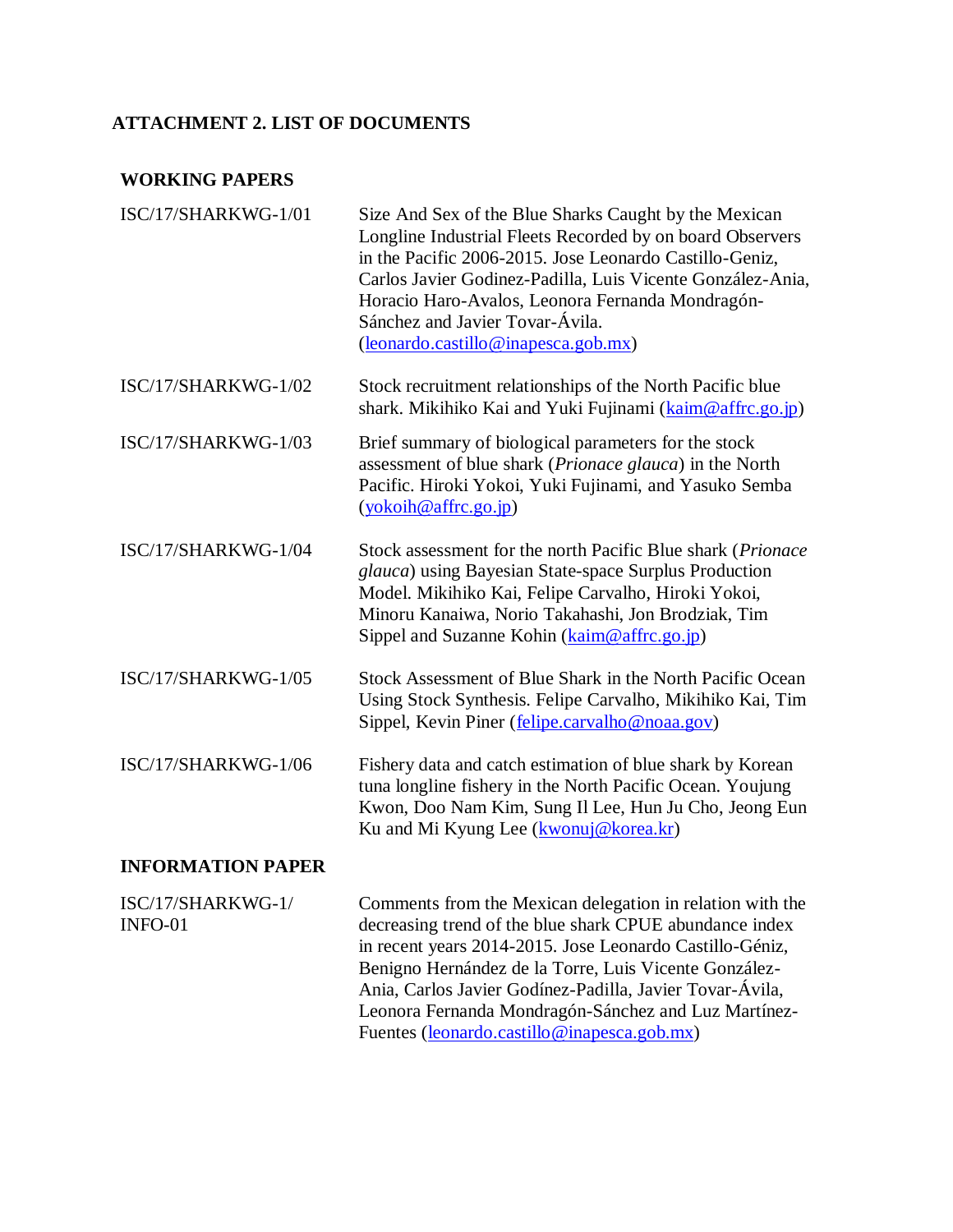# **ATTACHMENT 2. LIST OF DOCUMENTS**

# **WORKING PAPERS**

| ISC/17/SHARKWG-1/01          | Size And Sex of the Blue Sharks Caught by the Mexican<br>Longline Industrial Fleets Recorded by on board Observers<br>in the Pacific 2006-2015. Jose Leonardo Castillo-Geniz,<br>Carlos Javier Godinez-Padilla, Luis Vicente González-Ania,<br>Horacio Haro-Avalos, Leonora Fernanda Mondragón-<br>Sánchez and Javier Tovar-Ávila.<br>(leonardo.castillo@inapesca.gob.mx)                                    |
|------------------------------|--------------------------------------------------------------------------------------------------------------------------------------------------------------------------------------------------------------------------------------------------------------------------------------------------------------------------------------------------------------------------------------------------------------|
| ISC/17/SHARKWG-1/02          | Stock recruitment relationships of the North Pacific blue<br>shark. Mikihiko Kai and Yuki Fujinami (kaim@affrc.go.jp)                                                                                                                                                                                                                                                                                        |
| ISC/17/SHARKWG-1/03          | Brief summary of biological parameters for the stock<br>assessment of blue shark (Prionace glauca) in the North<br>Pacific. Hiroki Yokoi, Yuki Fujinami, and Yasuko Semba<br>(yokoih@affrc.go.jp)                                                                                                                                                                                                            |
| ISC/17/SHARKWG-1/04          | Stock assessment for the north Pacific Blue shark (Prionace<br>glauca) using Bayesian State-space Surplus Production<br>Model. Mikihiko Kai, Felipe Carvalho, Hiroki Yokoi,<br>Minoru Kanaiwa, Norio Takahashi, Jon Brodziak, Tim<br>Sippel and Suzanne Kohin (kaim@affrc.go.jp)                                                                                                                             |
| ISC/17/SHARKWG-1/05          | Stock Assessment of Blue Shark in the North Pacific Ocean<br>Using Stock Synthesis. Felipe Carvalho, Mikihiko Kai, Tim<br>Sippel, Kevin Piner (felipe.carvalho@noaa.gov)                                                                                                                                                                                                                                     |
| ISC/17/SHARKWG-1/06          | Fishery data and catch estimation of blue shark by Korean<br>tuna longline fishery in the North Pacific Ocean. Youjung<br>Kwon, Doo Nam Kim, Sung Il Lee, Hun Ju Cho, Jeong Eun<br>Ku and Mi Kyung Lee (kwonuj@korea.kr)                                                                                                                                                                                     |
| <b>INFORMATION PAPER</b>     |                                                                                                                                                                                                                                                                                                                                                                                                              |
| ISC/17/SHARKWG-1/<br>INFO-01 | Comments from the Mexican delegation in relation with the<br>decreasing trend of the blue shark CPUE abundance index<br>in recent years 2014-2015. Jose Leonardo Castillo-Géniz,<br>Benigno Hernández de la Torre, Luis Vicente González-<br>Ania, Carlos Javier Godínez-Padilla, Javier Tovar-Ávila,<br>Leonora Fernanda Mondragón-Sánchez and Luz Martínez-<br>Fuentes (leonardo.castillo@inapesca.gob.mx) |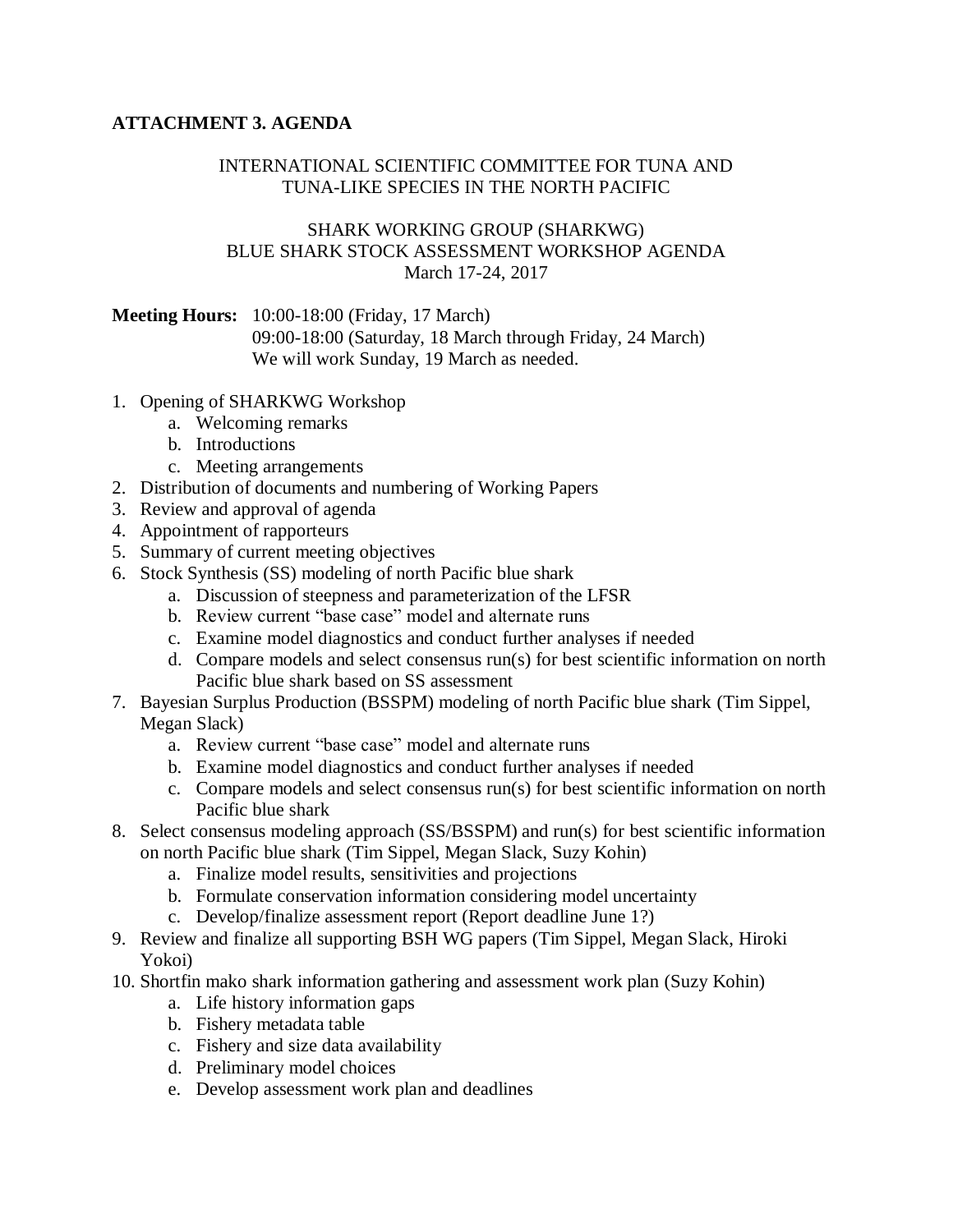# **ATTACHMENT 3. AGENDA**

## INTERNATIONAL SCIENTIFIC COMMITTEE FOR TUNA AND TUNA-LIKE SPECIES IN THE NORTH PACIFIC

## SHARK WORKING GROUP (SHARKWG) BLUE SHARK STOCK ASSESSMENT WORKSHOP AGENDA March 17-24, 2017

## **Meeting Hours:** 10:00-18:00 (Friday, 17 March)

09:00-18:00 (Saturday, 18 March through Friday, 24 March) We will work Sunday, 19 March as needed.

- 1. Opening of SHARKWG Workshop
	- a. Welcoming remarks
	- b. Introductions
	- c. Meeting arrangements
- 2. Distribution of documents and numbering of Working Papers
- 3. Review and approval of agenda
- 4. Appointment of rapporteurs
- 5. Summary of current meeting objectives
- 6. Stock Synthesis (SS) modeling of north Pacific blue shark
	- a. Discussion of steepness and parameterization of the LFSR
	- b. Review current "base case" model and alternate runs
	- c. Examine model diagnostics and conduct further analyses if needed
	- d. Compare models and select consensus run(s) for best scientific information on north Pacific blue shark based on SS assessment
- 7. Bayesian Surplus Production (BSSPM) modeling of north Pacific blue shark (Tim Sippel, Megan Slack)
	- a. Review current "base case" model and alternate runs
	- b. Examine model diagnostics and conduct further analyses if needed
	- c. Compare models and select consensus run(s) for best scientific information on north Pacific blue shark
- 8. Select consensus modeling approach (SS/BSSPM) and run(s) for best scientific information on north Pacific blue shark (Tim Sippel, Megan Slack, Suzy Kohin)
	- a. Finalize model results, sensitivities and projections
	- b. Formulate conservation information considering model uncertainty
	- c. Develop/finalize assessment report (Report deadline June 1?)
- 9. Review and finalize all supporting BSH WG papers (Tim Sippel, Megan Slack, Hiroki Yokoi)
- 10. Shortfin mako shark information gathering and assessment work plan (Suzy Kohin)
	- a. Life history information gaps
	- b. Fishery metadata table
	- c. Fishery and size data availability
	- d. Preliminary model choices
	- e. Develop assessment work plan and deadlines